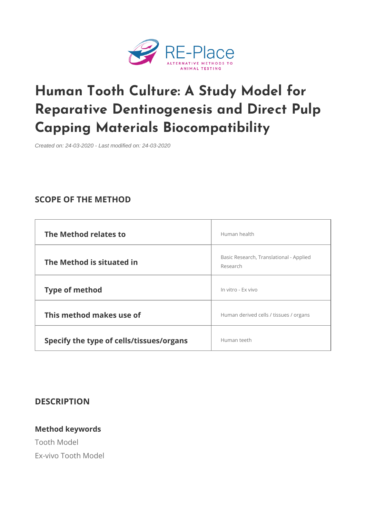# [Human Tooth Culture: A Study](https://www.re-place.be/method/human-tooth-culture-study-model-reparative-dentinogenesis-and-direct-pulp-capping-materials) Mo Reparative Dentinogenesis and D Capping Materials Biocompatibilit

Created on: 24-03-2020 - Last modified on: 24-03-2020

### SCOPE OF THE METHOD

| The Method relates to                           | Human health                                         |        |
|-------------------------------------------------|------------------------------------------------------|--------|
| The Method is situated in                       | Basic Research, Translational  - Applied<br>Research |        |
| Type of method                                  | In vitro - Ex vivo                                   |        |
| This method makes use of                        | Human derived cells / tissues $ $                    | organs |
| Specify the type of cells/tissues/orpogramiseth |                                                      |        |

#### DESCRIPTION

Method keywords Tooth Model Ex-vivo Tooth Model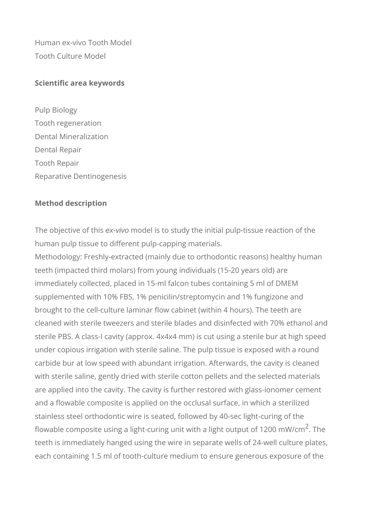Human ex-vivo Tooth Model Tooth Culture Model

#### **Scientific area keywords**

Pulp Biology Tooth regeneration Dental Mineralization Dental Repair Tooth Repair Reparative Dentinogenesis

#### **Method description**

The objective of this ex-vivo model is to study the initial pulp-tissue reaction of the human pulp tissue to different pulp-capping materials.

Methodology: Freshly-extracted (mainly due to orthodontic reasons) healthy human teeth (impacted third molars) from young individuals (15-20 years old) are immediately collected, placed in 15-ml falcon tubes containing 5 ml of DMEM supplemented with 10% FBS, 1% penicilin/streptomycin and 1% fungizone and brought to the cell-culture laminar flow cabinet (within 4 hours). The teeth are cleaned with sterile tweezers and sterile blades and disinfected with 70% ethanol and sterile PBS. A class-I cavity (approx. 4x4x4 mm) is cut using a sterile bur at high speed under copious irrigation with sterile saline. The pulp tissue is exposed with a round carbide bur at low speed with abundant irrigation. Afterwards, the cavity is cleaned with sterile saline, gently dried with sterile cotton pellets and the selected materials are applied into the cavity. The cavity is further restored with glass-ionomer cement and a flowable composite is applied on the occlusal surface, in which a sterilized stainless steel orthodontic wire is seated, followed by 40-sec light-curing of the flowable composite using a light-curing unit with a light output of 1200 mW/cm $^{\mathsf{2}}$ . The teeth is immediately hanged using the wire in separate wells of 24-well culture plates, each containing 1.5 ml of tooth-culture medium to ensure generous exposure of the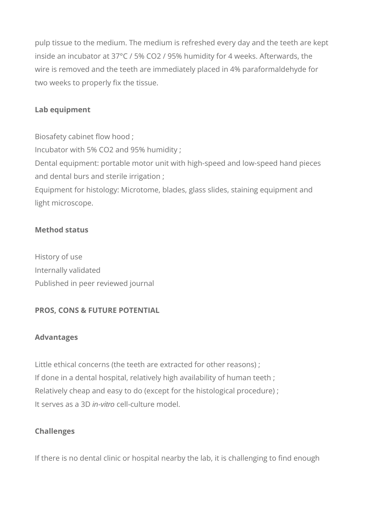pulp tissue to the medium. The medium is refreshed every day and the teeth are kept inside an incubator at 37°C / 5% CO2 / 95% humidity for 4 weeks. Afterwards, the wire is removed and the teeth are immediately placed in 4% paraformaldehyde for two weeks to properly fix the tissue.

# **Lab equipment**

Biosafety cabinet flow hood ; Incubator with 5% CO2 and 95% humidity ; Dental equipment: portable motor unit with high-speed and low-speed hand pieces and dental burs and sterile irrigation ; Equipment for histology: Microtome, blades, glass slides, staining equipment and light microscope.

#### **Method status**

History of use Internally validated Published in peer reviewed journal

# **PROS, CONS & FUTURE POTENTIAL**

#### **Advantages**

Little ethical concerns (the teeth are extracted for other reasons) ; If done in a dental hospital, relatively high availability of human teeth ; Relatively cheap and easy to do (except for the histological procedure) ; It serves as a 3D in-vitro cell-culture model.

#### **Challenges**

If there is no dental clinic or hospital nearby the lab, it is challenging to find enough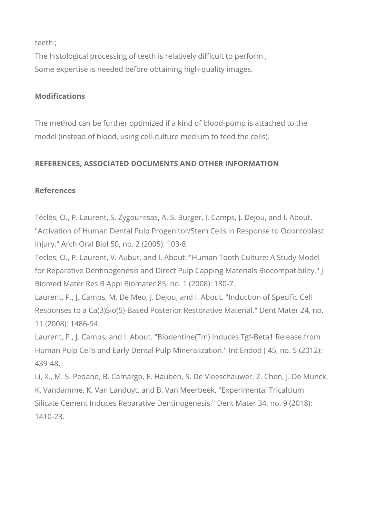teeth ;

The histological processing of teeth is relatively difficult to perform ; Some expertise is needed before obtaining high-quality images.

# **Modifications**

The method can be further optimized if a kind of blood-pomp is attached to the model (instead of blood, using cell-culture medium to feed the cells).

# **REFERENCES, ASSOCIATED DOCUMENTS AND OTHER INFORMATION**

# **References**

Téclès, O., P. Laurent, S. Zygouritsas, A. S. Burger, J. Camps, J. Dejou, and I. About. "Activation of Human Dental Pulp Progenitor/Stem Cells in Response to Odontoblast Injury." Arch Oral Biol 50, no. 2 (2005): 103-8.

Tecles, O., P. Laurent, V. Aubut, and I. About. "Human Tooth Culture: A Study Model for Reparative Dentinogenesis and Direct Pulp Capping Materials Biocompatibility." J Biomed Mater Res B Appl Biomater 85, no. 1 (2008): 180-7.

Laurent, P., J. Camps, M. De Meo, J. Dejou, and I. About. "Induction of Specific Cell Responses to a Ca(3)Sio(5)-Based Posterior Restorative Material." Dent Mater 24, no. 11 (2008): 1486-94.

Laurent, P., J. Camps, and I. About. "Biodentine(Tm) Induces Tgf-Beta1 Release from Human Pulp Cells and Early Dental Pulp Mineralization." Int Endod J 45, no. 5 (2012): 439-48.

Li, X., M. S. Pedano, B. Camargo, E. Hauben, S. De Vleeschauwer, Z. Chen, J. De Munck, K. Vandamme, K. Van Landuyt, and B. Van Meerbeek. "Experimental Tricalcium Silicate Cement Induces Reparative Dentinogenesis." Dent Mater 34, no. 9 (2018): 1410-23.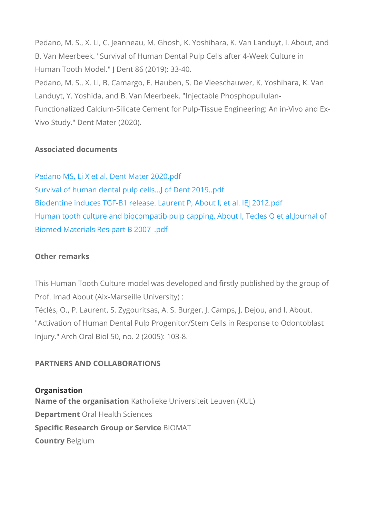Pedano, M. S., X. Li, C. Jeanneau, M. Ghosh, K. Yoshihara, K. B. Van Meerbeek. "Survival of Human Dental Pulp Cells after 4 Human Tooth Model." J Dent 86 (2019): 33-40. Pedano, M. S., X. Li, B. Camargo, E. Hauben, S. De Vleeschau Landuyt, Y. Yoshida, and B. Van Meerbeek. "Injectable Phosph Functionalized Calcium-Silicate Cement for Pulp-Tissue Engine Vivo Study." Dent Mater (2020).

Associated documents

[Pedano MS, Li X et al. Dent](https://www.re-place.be/sites/default/files/Pedano MS, Li X et al. Dent Mater 2020.pdf) Mater 2020.pdf [Survival of human dental pulp cells.](https://www.re-place.be/sites/default/files/Survival of human dental pulp cells...J of Dent 2019..pdf)..J of Dent 2019..pdf [Biodentine induces TGF-B1 release. Laurent P,](https://www.re-place.be/sites/default/files/Biodentine induces TGF-B1 release. Laurent P, About I, et al. IEJ 2012.pdf) About I, et al. [Human tooth culture and biocompatib pulp capping. Abo](https://www.re-place.be/sites/default/files/Human tooth culture and biocompatib pulp capping. About I, Tecles O et al.Journal of Biomed Materials Res part B 2007_.pdf)ut I, Te [Biomed Materials Res par](https://www.re-place.be/sites/default/files/Human tooth culture and biocompatib pulp capping. About I, Tecles O et al.Journal of Biomed Materials Res part B 2007_.pdf)t B 2007\_.pdf

Other remarks

This Human Tooth Culture model was developed and firstly pub Prof. Imad About (Aix-Marseille University) : Téclès, O., P. Laurent, S. Zygouritsas, A. S. Burger, J. Camps "Activation of Human Dental Pulp Progenitor/Stem Cells in Res Injury." Arch Oral Biol 50, no. 2 (2005): 103-8.

PARTNERS AND COLLABORATIONS

Organisation Name of the organ Ksaattholieke Universiteit Leuven (KUL) Departme@tal Health Sciences Specific Research Group Bd O **Sand** Tuice CountrByelgium